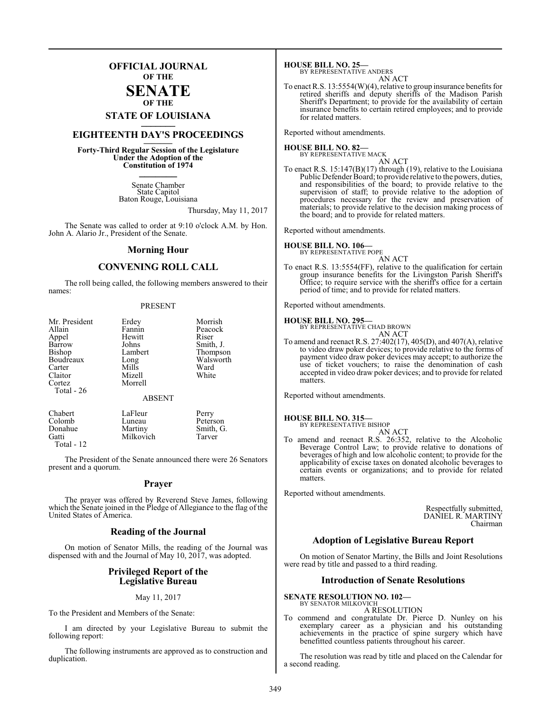### **OFFICIAL JOURNAL OF THE**

### **SENATE OF THE**

## **STATE OF LOUISIANA \_\_\_\_\_\_\_**

## **EIGHTEENTH DAY'S PROCEEDINGS \_\_\_\_\_\_\_**

**Forty-Third Regular Session of the Legislature Under the Adoption of the Constitution of 1974 \_\_\_\_\_\_\_**

> Senate Chamber State Capitol Baton Rouge, Louisiana

> > Thursday, May 11, 2017

The Senate was called to order at 9:10 o'clock A.M. by Hon. John A. Alario Jr., President of the Senate.

### **Morning Hour**

### **CONVENING ROLL CALL**

The roll being called, the following members answered to their names:

### PRESENT

| Mr. President | Erdey         | Morrish   |
|---------------|---------------|-----------|
| Allain        | Fannin        | Peacock   |
| Appel         | Hewitt        | Riser     |
| Barrow        | Johns         | Smith, J. |
| Bishop        | Lambert       | Thompson  |
| Boudreaux     | Long          | Walsworth |
| Carter        | Mills         | Ward      |
| Claitor       | Mizell        | White     |
| Cortez        | Morrell       |           |
| Total - 26    |               |           |
|               | <b>ABSENT</b> |           |
| Chabert       | LaFleur       | Perry     |

| Chabert    | LaFleur   | Perry     |
|------------|-----------|-----------|
| Colomb     | Luneau    | Peterson  |
| Donahue    | Martiny   | Smith, G. |
| Gatti      | Milkovich | Tarver    |
| Total - 12 |           |           |

The President of the Senate announced there were 26 Senators present and a quorum.

### **Prayer**

The prayer was offered by Reverend Steve James, following which the Senate joined in the Pledge of Allegiance to the flag of the United States of America.

### **Reading of the Journal**

On motion of Senator Mills, the reading of the Journal was dispensed with and the Journal of May 10, 2017, was adopted.

### **Privileged Report of the Legislative Bureau**

### May 11, 2017

To the President and Members of the Senate:

I am directed by your Legislative Bureau to submit the following report:

The following instruments are approved as to construction and duplication.

**HOUSE BILL NO. 25—** BY REPRESENTATIVE ANDERS

AN ACT To enact R.S. 13:5554(W)(4), relative to group insurance benefits for retired sheriffs and deputy sheriffs of the Madison Parish Sheriff's Department; to provide for the availability of certain insurance benefits to certain retired employees; and to provide for related matters.

Reported without amendments.

**HOUSE BILL NO. 82—** BY REPRESENTATIVE MACK

AN ACT To enact R.S. 15:147(B)(17) through (19), relative to the Louisiana Public Defender Board; to provide relative to the powers, duties, and responsibilities of the board; to provide relative to the supervision of staff; to provide relative to the adoption of procedures necessary for the review and preservation of materials; to provide relative to the decision making process of the board; and to provide for related matters.

Reported without amendments.

### **HOUSE BILL NO. 106—**

- BY REPRESENTATIVE POPE AN ACT
- To enact R.S. 13:5554(FF), relative to the qualification for certain group insurance benefits for the Livingston Parish Sheriff's Office; to require service with the sheriff's office for a certain period of time; and to provide for related matters.

Reported without amendments.

### **HOUSE BILL NO. 295—**

BY REPRESENTATIVE CHAD BROWN AN ACT

To amend and reenact R.S. 27:402(17), 405(D), and 407(A), relative to video draw poker devices; to provide relative to the forms of payment video draw poker devices may accept; to authorize the use of ticket vouchers; to raise the denomination of cash accepted in video draw poker devices; and to provide for related matters.

Reported without amendments.

### **HOUSE BILL NO. 315—**

BY REPRESENTATIVE BISHOP AN ACT

To amend and reenact R.S. 26:352, relative to the Alcoholic Beverage Control Law; to provide relative to donations of beverages of high and low alcoholic content; to provide for the applicability of excise taxes on donated alcoholic beverages to certain events or organizations; and to provide for related matters.

Reported without amendments.

Respectfully submitted, DANIEL R. MARTINY Chairman

### **Adoption of Legislative Bureau Report**

On motion of Senator Martiny, the Bills and Joint Resolutions were read by title and passed to a third reading.

### **Introduction of Senate Resolutions**

### **SENATE RESOLUTION NO. 102—**

BY SENATOR MILKOVICH A RESOLUTION

To commend and congratulate Dr. Pierce D. Nunley on his exemplary career as a physician and his outstanding achievements in the practice of spine surgery which have benefitted countless patients throughout his career.

The resolution was read by title and placed on the Calendar for a second reading.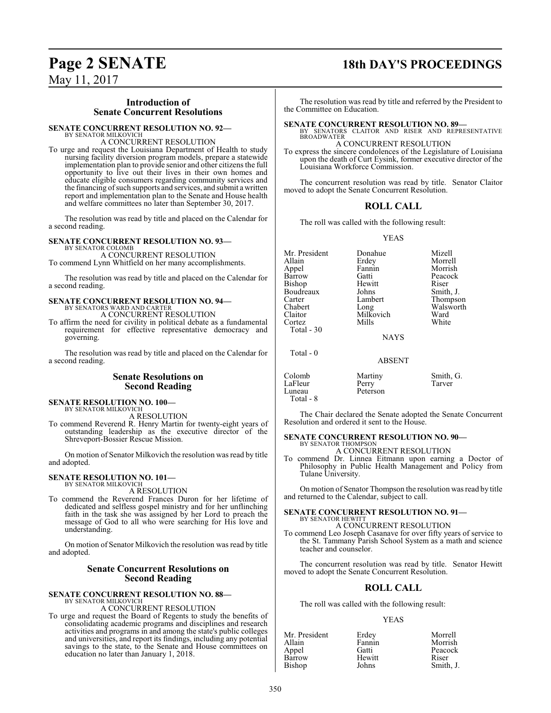### **Introduction of Senate Concurrent Resolutions**

### **SENATE CONCURRENT RESOLUTION NO. 92—**

BY SENATOR MILKOVICH A CONCURRENT RESOLUTION

To urge and request the Louisiana Department of Health to study nursing facility diversion program models, prepare a statewide implementation plan to provide senior and other citizens the full opportunity to live out their lives in their own homes and educate eligible consumers regarding community services and the financing of such supports and services, and submit a written report and implementation plan to the Senate and House health and welfare committees no later than September 30, 2017.

The resolution was read by title and placed on the Calendar for a second reading.

### **SENATE CONCURRENT RESOLUTION NO. 93—** BY SENATOR COLOMB

A CONCURRENT RESOLUTION To commend Lynn Whitfield on her many accomplishments.

The resolution was read by title and placed on the Calendar for a second reading.

### **SENATE CONCURRENT RESOLUTION NO. 94—** BY SENATORS WARD AND CARTER A CONCURRENT RESOLUTION

To affirm the need for civility in political debate as a fundamental requirement for effective representative democracy and governing.

The resolution was read by title and placed on the Calendar for a second reading.

### **Senate Resolutions on Second Reading**

**SENATE RESOLUTION NO. 100—**

BY SENATOR MILKOVICH A RESOLUTION

To commend Reverend R. Henry Martin for twenty-eight years of outstanding leadership as the executive director of the Shreveport-Bossier Rescue Mission.

On motion of Senator Milkovich the resolution was read by title and adopted.

### **SENATE RESOLUTION NO. 101—** BY SENATOR MILKOVICH

A RESOLUTION

To commend the Reverend Frances Duron for her lifetime of dedicated and selfless gospel ministry and for her unflinching faith in the task she was assigned by her Lord to preach the message of God to all who were searching for His love and understanding.

On motion of Senator Milkovich the resolution was read by title and adopted.

### **Senate Concurrent Resolutions on Second Reading**

## **SENATE CONCURRENT RESOLUTION NO. 88—** BY SENATOR MILKOVICH

A CONCURRENT RESOLUTION

To urge and request the Board of Regents to study the benefits of consolidating academic programs and disciplines and research activities and programs in and among the state's public colleges and universities, and report its findings, including any potential savings to the state, to the Senate and House committees on education no later than January 1, 2018.

## **Page 2 SENATE 18th DAY'S PROCEEDINGS**

The resolution was read by title and referred by the President to the Committee on Education.

**SENATE CONCURRENT RESOLUTION NO. 89—<br>
BY SENATORS CLAITOR AND RISER AND REPRESENTATIVE<br>
BROADWATER** A CONCURRENT RESOLUTION

To express the sincere condolences of the Legislature of Louisiana upon the death of Curt Eysink, former executive director of the Louisiana Workforce Commission.

The concurrent resolution was read by title. Senator Claitor moved to adopt the Senate Concurrent Resolution.

### **ROLL CALL**

The roll was called with the following result:

YEAS

Mr. President Donahue Mizell<br>Allain Erdey Morrel Allain 1988 Erdey 1988 Morrell<br>Appel 1988 Fannin 1989 Morrish Appel Fannin Morrish Bishop Hewitt Riser<br>Boudreaux Johns Smith, J. Boudreaux Johns<br>Carter Lambert Carter Lambert Thompson<br>Chabert Long Walsworth Chabert Long Walsworth<br>Claitor Milkovich Ward Cortez Total - 30

Peacock Milkovich Ward<br>
Mills White

NAYS

Total - 0

|                                          | <b>ABSENT</b>                |                     |
|------------------------------------------|------------------------------|---------------------|
| Colomb<br>LaFleur<br>Luneau<br>Total - 8 | Martiny<br>Perry<br>Peterson | Smith, G.<br>Tarver |

The Chair declared the Senate adopted the Senate Concurrent Resolution and ordered it sent to the House.

### **SENATE CONCURRENT RESOLUTION NO. 90—** BY SENATOR THOMPSON

A CONCURRENT RESOLUTION

To commend Dr. Linnea Eitmann upon earning a Doctor of Philosophy in Public Health Management and Policy from Tulane University.

On motion of Senator Thompson the resolution was read by title and returned to the Calendar, subject to call.

### **SENATE CONCURRENT RESOLUTION NO. 91—** BY SENATOR HEWITT

A CONCURRENT RESOLUTION

To commend Leo Joseph Casanave for over fifty years of service to the St. Tammany Parish School System as a math and science teacher and counselor.

The concurrent resolution was read by title. Senator Hewitt moved to adopt the Senate Concurrent Resolution.

### **ROLL CALL**

The roll was called with the following result:

### YEAS

| Mr. President | Erdey  | Morrell   |
|---------------|--------|-----------|
| Allain        | Fannin | Morrish   |
| Appel         | Gatti  | Peacock   |
| Barrow        | Hewitt | Riser     |
| Bishop        | Johns  | Smith, J. |
|               |        |           |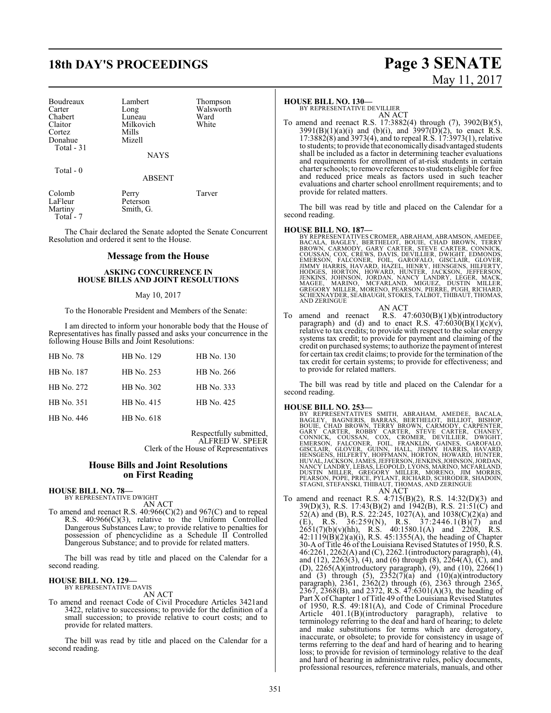## **18th DAY'S PROCEEDINGS Page 3 SENATE**

| Boudreaux   | Lambert     | Thom  |
|-------------|-------------|-------|
| Carter      | Long        | Walsy |
| Chabert     | Luneau      | Ward  |
| Claitor     | Milkovich   | White |
| Cortez      | Mills       |       |
| Donahue     | Mizell      |       |
| Total $-31$ |             |       |
|             | <b>NAYS</b> |       |

Total - 0

### ABSENT

Thompson Walsworth<br>Ward

| Colomb    | Perry     | Tarver |
|-----------|-----------|--------|
| LaFleur   | Peterson  |        |
| Martiny   | Smith, G. |        |
| Total - 7 |           |        |

The Chair declared the Senate adopted the Senate Concurrent Resolution and ordered it sent to the House.

### **Message from the House**

### **ASKING CONCURRENCE IN HOUSE BILLS AND JOINT RESOLUTIONS**

### May 10, 2017

To the Honorable President and Members of the Senate:

I am directed to inform your honorable body that the House of Representatives has finally passed and asks your concurrence in the following House Bills and Joint Resolutions:

| HB No. 78  | HB No. 129 | HB No. 130 |
|------------|------------|------------|
| HB No. 187 | HB No. 253 | HB No. 266 |
| HB No. 272 | HB No. 302 | HB No. 333 |
| HB No. 351 | HB No. 415 | HB No. 425 |
| HB No. 446 | HB No. 618 |            |

Respectfully submitted, ALFRED W. SPEER Clerk of the House of Representatives

### **House Bills and Joint Resolutions on First Reading**

## **HOUSE BILL NO. 78—** BY REPRESENTATIVE DWIGHT

AN ACT

To amend and reenact R.S.  $40.966(C)(2)$  and  $967(C)$  and to repeal R.S. 40:966(C)(3), relative to the Uniform Controlled Dangerous Substances Law; to provide relative to penalties for possession of phencyclidine as a Schedule II Controlled Dangerous Substance; and to provide for related matters.

The bill was read by title and placed on the Calendar for a second reading.

### **HOUSE BILL NO. 129—**

BY REPRESENTATIVE DAVIS

AN ACT

To amend and reenact Code of Civil Procedure Articles 3421and 3422, relative to successions; to provide for the definition of a small succession; to provide relative to court costs; and to provide for related matters.

The bill was read by title and placed on the Calendar for a second reading.

### **HOUSE BILL NO. 130—**

BY REPRESENTATIVE DEVILLIER AN ACT

To amend and reenact R.S. 17:3882(4) through (7), 3902(B)(5),  $3991(B)(1)(a)(i)$  and (b)(i), and  $3997(D)(2)$ , to enact R.S. 17:3882(8) and 3973(4), and to repeal R.S. 17:3973(1), relative to students; to provide that economically disadvantaged students shall be included as a factor in determining teacher evaluations and requirements for enrollment of at-risk students in certain charter schools; to remove references to students eligible for free and reduced price meals as factors used in such teacher evaluations and charter school enrollment requirements; and to provide for related matters.

The bill was read by title and placed on the Calendar for a second reading.

- HOUSE BILL NO. 187—<br>BY REPRESENTATIVES CROMER, ABRAHAM, ABRAMSON, AMEDEE, BACALA, BAGLEY, BERTHELOT, BOUIE, CHAD BROWN, TERRY<br>BROWN, CARMODY, GARY CARTER, STEVE CARTER, CONNICK,<br>COUSSAN, COX, CREWS, DAVIS, DEVILLIER, DWIGH
- AN ACT To amend and reenact R.S. 47:6030(B)(1)(b)(introductory paragraph) and (d) and to enact R.S.  $47:6030(B)(1)(c)(v)$ , relative to tax credits; to provide with respect to the solar energy systems tax credit; to provide for payment and claiming of the credit on purchased systems; to authorize the payment ofinterest for certain tax credit claims; to provide for the termination of the tax credit for certain systems; to provide for effectiveness; and

The bill was read by title and placed on the Calendar for a second reading.

### **HOUSE BILL NO. 253—**

to provide for related matters.

BY REPRESENTATIVES SMITH, ABRAHAM, AMEDEE, BACALA,<br>BAGLEY, BAGNERIS, BARRAS, BERTHELOT, BILLIOT, BISHOP,<br>BOUIE, CHAD BROWN, TERRY BROWN, CARMODY, CARPENTER,<br>GARY CARTER, ROBBY CARTER, STEVE CARTER, CHANEY,<br>CONNICK, COUSSAN DUSTIN MILLER, GREGORY MILLER, MORENO, JIM MORRIS,<br>PEARSON,POPE,PRICE,PYLANT,RICHARD,SCHRODER,SHADOIN,<br>STAGNI,STEFANSKI,THIBAUT,THOMAS,ANDZERINGUE

AN ACT

To amend and reenact R.S. 4:715(B)(2), R.S. 14:32(D)(3) and 39(D)(3), R.S. 17:43(B)(2) and 1942(B), R.S. 21:51(C) and 52(A) and (B), R.S. 22:245, 1027(A), and 1038(C)(2)(a) and (E), R.S. 36:259(N), R.S.  $37:2446.1(B)(7)$  and  $2651(7)(b)(v)(hh)$ , R.S.  $40:1580.1(A)$  and  $2208$ , R.S. 42:1119(B)(2)(a)(i), R.S. 45:1355(A), the heading of Chapter 30-A of Title 46 of the Louisiana Revised Statutes of 1950, R.S. 46:2261, 2262(A) and (C), 2262.1(introductory paragraph), (4), and (12), 2263(3), (4), and (6) through (8), 2264(A), (C), and (D), 2265(A)(introductory paragraph), (9), and (10), 2266(1) and (3) through (5),  $2352(7)(a)$  and  $(10)(a)$ (introductory paragraph), 2361, 2362(2) through (6), 2363 through 2365, 2367, 2368(B), and 2372, R.S.  $47:6301(A)(3)$ , the heading of Part X of Chapter 1 of Title 49 of the Louisiana Revised Statutes of 1950, R.S. 49:181(A), and Code of Criminal Procedure Article 401.1(B)(introductory paragraph), relative to terminology referring to the deaf and hard of hearing; to delete and make substitutions for terms which are derogatory, inaccurate, or obsolete; to provide for consistency in usage of terms referring to the deaf and hard of hearing and to hearing loss; to provide for revision of terminology relative to the deaf and hard of hearing in administrative rules, policy documents, professional resources, reference materials, manuals, and other

# May 11, 2017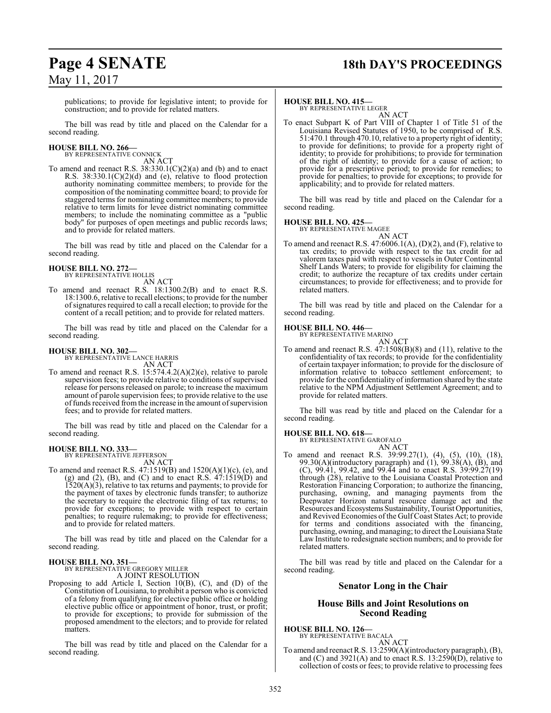## **Page 4 SENATE 18th DAY'S PROCEEDINGS**

publications; to provide for legislative intent; to provide for construction; and to provide for related matters.

The bill was read by title and placed on the Calendar for a second reading.

## **HOUSE BILL NO. 266—** BY REPRESENTATIVE CONNICK

AN ACT

To amend and reenact R.S.  $38:330.1(C)(2)(a)$  and (b) and to enact R.S. 38:330.1(C)(2)(d) and (e), relative to flood protection authority nominating committee members; to provide for the composition of the nominating committee board; to provide for staggered terms for nominating committee members; to provide relative to term limits for levee district nominating committee members; to include the nominating committee as a "public body" for purposes of open meetings and public records laws; and to provide for related matters.

The bill was read by title and placed on the Calendar for a second reading.

### **HOUSE BILL NO. 272—** BY REPRESENTATIVE HOLLIS

AN ACT

To amend and reenact R.S. 18:1300.2(B) and to enact R.S. 18:1300.6, relative to recall elections; to provide for the number ofsignatures required to call a recall election; to provide for the content of a recall petition; and to provide for related matters.

The bill was read by title and placed on the Calendar for a second reading.

### **HOUSE BILL NO. 302—**

BY REPRESENTATIVE LANCE HARRIS

AN ACT To amend and reenact R.S. 15:574.4.2(A)(2)(e), relative to parole supervision fees; to provide relative to conditions of supervised release for persons released on parole; to increase the maximum amount of parole supervision fees; to provide relative to the use of funds received from the increase in the amount of supervision fees; and to provide for related matters.

The bill was read by title and placed on the Calendar for a second reading.

### **HOUSE BILL NO. 333—**

BY REPRESENTATIVE JEFFERSON AN ACT

To amend and reenact R.S. 47:1519(B) and 1520(A)(1)(c), (e), and (g) and (2), (B), and (C) and to enact R.S. 47:1519(D) and 1520(A)(3), relative to tax returns and payments; to provide for the payment of taxes by electronic funds transfer; to authorize the secretary to require the electronic filing of tax returns; to provide for exceptions; to provide with respect to certain penalties; to require rulemaking; to provide for effectiveness; and to provide for related matters.

The bill was read by title and placed on the Calendar for a second reading.

### **HOUSE BILL NO. 351—**

BY REPRESENTATIVE GREGORY MILLER A JOINT RESOLUTION

Proposing to add Article I, Section 10(B), (C), and (D) of the Constitution of Louisiana, to prohibit a person who is convicted of a felony from qualifying for elective public office or holding elective public office or appointment of honor, trust, or profit; to provide for exceptions; to provide for submission of the proposed amendment to the electors; and to provide for related matters.

The bill was read by title and placed on the Calendar for a second reading.

### **HOUSE BILL NO. 415—**

BY REPRESENTATIVE LEGER AN ACT

To enact Subpart K of Part VIII of Chapter 1 of Title 51 of the Louisiana Revised Statutes of 1950, to be comprised of R.S. 51:470.1 through 470.10, relative to a property right of identity; to provide for definitions; to provide for a property right of identity; to provide for prohibitions; to provide for termination of the right of identity; to provide for a cause of action; to provide for a prescriptive period; to provide for remedies; to provide for penalties; to provide for exceptions; to provide for applicability; and to provide for related matters.

The bill was read by title and placed on the Calendar for a second reading.

### **HOUSE BILL NO. 425—**

BY REPRESENTATIVE MAGEE

AN ACT

To amend and reenact R.S. 47:6006.1(A), (D)(2), and (F), relative to tax credits; to provide with respect to the tax credit for ad valorem taxes paid with respect to vessels in Outer Continental Shelf Lands Waters; to provide for eligibility for claiming the credit; to authorize the recapture of tax credits under certain circumstances; to provide for effectiveness; and to provide for related matters.

The bill was read by title and placed on the Calendar for a second reading.

### **HOUSE BILL NO. 446—**

BY REPRESENTATIVE MARINO AN ACT

To amend and reenact R.S. 47:1508(B)(8) and (11), relative to the confidentiality of tax records; to provide for the confidentiality of certain taxpayer information; to provide for the disclosure of information relative to tobacco settlement enforcement; to provide forthe confidentiality of information shared by the state relative to the NPM Adjustment Settlement Agreement; and to provide for related matters.

The bill was read by title and placed on the Calendar for a second reading.

## **HOUSE BILL NO. 618—** BY REPRESENTATIVE GAROFALO

AN ACT

To amend and reenact R.S. 39:99.27(1), (4), (5), (10), (18), 99.30(A)(introductory paragraph) and  $(1)$ , 99.38(A),  $(B)$ , and (C), 99.41, 99.42, and 99.44 and to enact R.S. 39:99.27(19) through (28), relative to the Louisiana Coastal Protection and Restoration Financing Corporation; to authorize the financing, purchasing, owning, and managing payments from the Deepwater Horizon natural resource damage act and the Resources and Ecosystems Sustainability, Tourist Opportunities, and Revived Economies ofthe Gulf Coast States Act; to provide for terms and conditions associated with the financing, purchasing, owning, and managing; to direct the Louisiana State Law Institute to redesignate section numbers; and to provide for related matters.

The bill was read by title and placed on the Calendar for a second reading.

### **Senator Long in the Chair**

### **House Bills and Joint Resolutions on Second Reading**

**HOUSE BILL NO. 126—**

BY REPRESENTATIVE BACALA

AN ACT To amend and reenact R.S. 13:2590(A)(introductory paragraph), (B), and (C) and  $3921(A)$  and to enact R.S.  $13:2590(D)$ , relative to collection of costs or fees; to provide relative to processing fees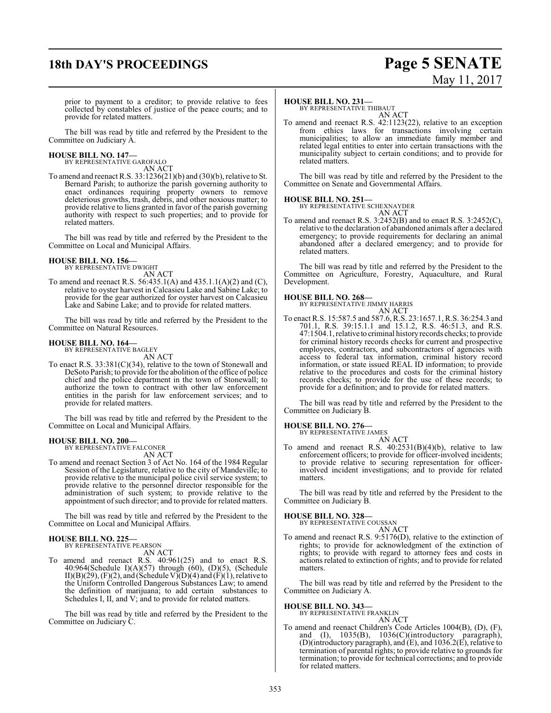## **18th DAY'S PROCEEDINGS Page 5 SENATE**

# May 11, 2017

prior to payment to a creditor; to provide relative to fees collected by constables of justice of the peace courts; and to provide for related matters.

The bill was read by title and referred by the President to the Committee on Judiciary A.

### **HOUSE BILL NO. 147—** BY REPRESENTATIVE GAROFALO

AN ACT

To amend and reenact R.S. 33:1236(21)(b) and (30)(b), relative to St. Bernard Parish; to authorize the parish governing authority to enact ordinances requiring property owners to remove deleterious growths, trash, debris, and other noxious matter; to provide relative to liens granted in favor of the parish governing authority with respect to such properties; and to provide for related matters.

The bill was read by title and referred by the President to the Committee on Local and Municipal Affairs.

## **HOUSE BILL NO. 156—** BY REPRESENTATIVE DWIGHT

AN ACT

To amend and reenact R.S. 56:435.1(A) and 435.1.1(A)(2) and (C), relative to oyster harvest in Calcasieu Lake and Sabine Lake; to provide for the gear authorized for oyster harvest on Calcasieu Lake and Sabine Lake; and to provide for related matters.

The bill was read by title and referred by the President to the Committee on Natural Resources.

### **HOUSE BILL NO. 164—**

BY REPRESENTATIVE BAGLEY

AN ACT

To enact R.S. 33:381(C)(34), relative to the town of Stonewall and DeSoto Parish; to provide for the abolition of the office of police chief and the police department in the town of Stonewall; to authorize the town to contract with other law enforcement entities in the parish for law enforcement services; and to provide for related matters.

The bill was read by title and referred by the President to the Committee on Local and Municipal Affairs.

### **HOUSE BILL NO. 200—**

BY REPRESENTATIVE FALCONER AN ACT

To amend and reenact Section 3 of Act No. 164 of the 1984 Regular Session of the Legislature, relative to the city of Mandeville; to provide relative to the municipal police civil service system; to provide relative to the personnel director responsible for the administration of such system; to provide relative to the appointment of such director; and to provide for related matters.

The bill was read by title and referred by the President to the Committee on Local and Municipal Affairs.

### **HOUSE BILL NO. 225—**

BY REPRESENTATIVE PEARSON

AN ACT

To amend and reenact R.S. 40:961(25) and to enact R.S. 40:964(Schedule I)(A)(57) through (60), (D)(5), (Schedule II)(B)(29), (F)(2), and (Schedule V)(D)(4) and (F)(1), relative to the Uniform Controlled Dangerous Substances Law; to amend the definition of marijuana; to add certain substances to Schedules I, II, and V; and to provide for related matters.

The bill was read by title and referred by the President to the Committee on Judiciary C.

### **HOUSE BILL NO. 231—**

BY REPRESENTATIVE THIBAUT AN ACT

To amend and reenact R.S. 42:1123(22), relative to an exception from ethics laws for transactions involving certain municipalities; to allow an immediate family member and related legal entities to enter into certain transactions with the municipality subject to certain conditions; and to provide for related matters.

The bill was read by title and referred by the President to the Committee on Senate and Governmental Affairs.

### **HOUSE BILL NO. 251—**



To amend and reenact R.S. 3:2452(B) and to enact R.S. 3:2452(C), relative to the declaration of abandoned animals after a declared emergency; to provide requirements for declaring an animal abandoned after a declared emergency; and to provide for related matters.

The bill was read by title and referred by the President to the Committee on Agriculture, Forestry, Aquaculture, and Rural Development.

### **HOUSE BILL NO. 268—**

BY REPRESENTATIVE JIMMY HARRIS AN ACT

To enact R.S. 15:587.5 and 587.6, R.S. 23:1657.1, R.S. 36:254.3 and 701.1, R.S. 39:15.1.1 and 15.1.2, R.S. 46:51.3, and R.S. 47:1504.1, relative to criminal historyrecords checks; to provide for criminal history records checks for current and prospective employees, contractors, and subcontractors of agencies with access to federal tax information, criminal history record information, or state issued REAL ID information; to provide relative to the procedures and costs for the criminal history records checks; to provide for the use of these records; to provide for a definition; and to provide for related matters.

The bill was read by title and referred by the President to the Committee on Judiciary B.

### **HOUSE BILL NO. 276—**

BY REPRESENTATIVE JAMES AN ACT

To amend and reenact R.S.  $40:2531(B)(4)(b)$ , relative to law enforcement officers; to provide for officer-involved incidents; to provide relative to securing representation for officerinvolved incident investigations; and to provide for related matters.

The bill was read by title and referred by the President to the Committee on Judiciary B.

### **HOUSE BILL NO. 328—**

BY REPRESENTATIVE COUSSAN AN ACT

To amend and reenact R.S. 9:5176(D), relative to the extinction of rights; to provide for acknowledgment of the extinction of rights; to provide with regard to attorney fees and costs in actions related to extinction of rights; and to provide for related matters.

The bill was read by title and referred by the President to the Committee on Judiciary A.

### **HOUSE BILL NO. 343—**

BY REPRESENTATIVE FRANKLIN AN ACT

To amend and reenact Children's Code Articles 1004(B), (D), (F), and (I), 1035(B), 1036(C)(introductory paragraph), (D)(introductory paragraph), and (E), and 1036.2(E), relative to termination of parental rights; to provide relative to grounds for termination; to provide for technical corrections; and to provide for related matters.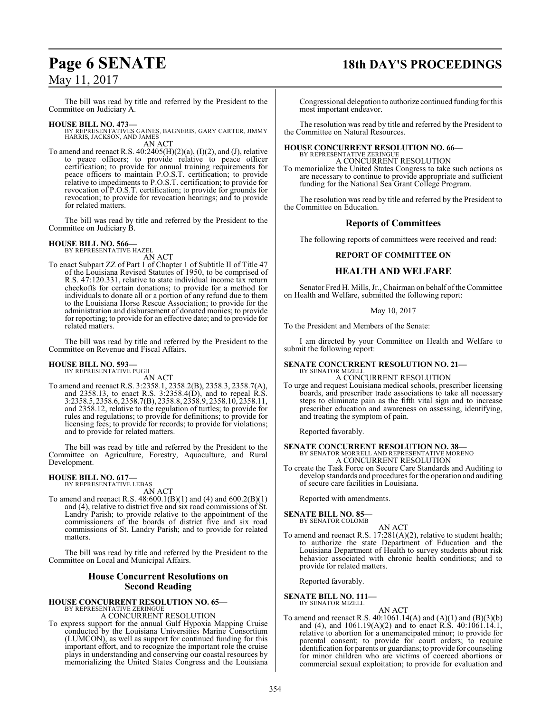The bill was read by title and referred by the President to the Committee on Judiciary A.

### **HOUSE BILL NO. 473—**

BY REPRESENTATIVES GAINES, BAGNERIS, GARY CARTER, JIMMY HARRIS, JACKSON, AND JAMES AN ACT

To amend and reenact R.S.  $40:2405(H)(2)(a)$ ,  $(I)(2)$ , and  $(J)$ , relative to peace officers; to provide relative to peace officer certification; to provide for annual training requirements for peace officers to maintain P.O.S.T. certification; to provide relative to impediments to P.O.S.T. certification; to provide for revocation of P.O.S.T. certification; to provide for grounds for revocation; to provide for revocation hearings; and to provide for related matters.

The bill was read by title and referred by the President to the Committee on Judiciary B.

## **HOUSE BILL NO. 566—** BY REPRESENTATIVE HAZEL

AN ACT

To enact Subpart ZZ of Part 1 of Chapter 1 of Subtitle II of Title 47 of the Louisiana Revised Statutes of 1950, to be comprised of R.S. 47:120.331, relative to state individual income tax return checkoffs for certain donations; to provide for a method for individuals to donate all or a portion of any refund due to them to the Louisiana Horse Rescue Association; to provide for the administration and disbursement of donated monies; to provide for reporting; to provide for an effective date; and to provide for related matters.

The bill was read by title and referred by the President to the Committee on Revenue and Fiscal Affairs.

### **HOUSE BILL NO. 593—** BY REPRESENTATIVE PUGH

AN ACT

To amend and reenact R.S. 3:2358.1, 2358.2(B), 2358.3, 2358.7(A), and 2358.13, to enact R.S. 3:2358.4(D), and to repeal R.S. 3:2358.5, 2358.6, 2358.7(B), 2358.8, 2358.9, 2358.10, 2358.11, and 2358.12, relative to the regulation of turtles; to provide for rules and regulations; to provide for definitions; to provide for licensing fees; to provide for records; to provide for violations; and to provide for related matters.

The bill was read by title and referred by the President to the Committee on Agriculture, Forestry, Aquaculture, and Rural Development.

### **HOUSE BILL NO. 617—** BY REPRESENTATIVE LEBAS

AN ACT

To amend and reenact R.S. 48:600.1(B)(1) and (4) and 600.2(B)(1) and (4), relative to district five and six road commissions of St. Landry Parish; to provide relative to the appointment of the commissioners of the boards of district five and six road commissions of St. Landry Parish; and to provide for related matters.

The bill was read by title and referred by the President to the Committee on Local and Municipal Affairs.

### **House Concurrent Resolutions on Second Reading**

## **HOUSE CONCURRENT RESOLUTION NO. 65—** BY REPRESENTATIVE ZERINGUE

A CONCURRENT RESOLUTION

To express support for the annual Gulf Hypoxia Mapping Cruise conducted by the Louisiana Universities Marine Consortium (LUMCON), as well as support for continued funding for this important effort, and to recognize the important role the cruise plays in understanding and conserving our coastal resources by memorializing the United States Congress and the Louisiana

## **Page 6 SENATE 18th DAY'S PROCEEDINGS**

Congressional delegation to authorize continued funding forthis most important endeavor.

The resolution was read by title and referred by the President to the Committee on Natural Resources.

### **HOUSE CONCURRENT RESOLUTION NO. 66—** BY REPRESENTATIVE ZERINGUE

A CONCURRENT RESOLUTION

To memorialize the United States Congress to take such actions as are necessary to continue to provide appropriate and sufficient funding for the National Sea Grant College Program.

The resolution was read by title and referred by the President to the Committee on Education.

### **Reports of Committees**

The following reports of committees were received and read:

### **REPORT OF COMMITTEE ON**

### **HEALTH AND WELFARE**

Senator Fred H. Mills, Jr., Chairman on behalf of the Committee on Health and Welfare, submitted the following report:

### May 10, 2017

To the President and Members of the Senate:

I am directed by your Committee on Health and Welfare to submit the following report:

## **SENATE CONCURRENT RESOLUTION NO. 21—** BY SENATOR MIZELL

A CONCURRENT RESOLUTION

To urge and request Louisiana medical schools, prescriber licensing boards, and prescriber trade associations to take all necessary steps to eliminate pain as the fifth vital sign and to increase prescriber education and awareness on assessing, identifying, and treating the symptom of pain.

Reported favorably.

## **SENATE CONCURRENT RESOLUTION NO. 38—** BY SENATOR MORRELL AND REPRESENTATIVE MORENO

- A CONCURRENT RESOLUTION To create the Task Force on Secure Care Standards and Auditing to
- develop standards and procedures for the operation and auditing of secure care facilities in Louisiana.

Reported with amendments.

## **SENATE BILL NO. 85—** BY SENATOR COLOMB

AN ACT To amend and reenact R.S. 17:281(A)(2), relative to student health; to authorize the state Department of Education and the Louisiana Department of Health to survey students about risk behavior associated with chronic health conditions; and to provide for related matters.

Reported favorably.

**SENATE BILL NO. 111—**

BY SENATOR MIZELL

AN ACT To amend and reenact R.S. 40:1061.14(A) and (A)(1) and (B)(3)(b) and (4), and 1061.19(A)(2) and to enact R.S. 40:1061.14.1, relative to abortion for a unemancipated minor; to provide for parental consent; to provide for court orders; to require identification for parents or guardians; to provide for counseling for minor children who are victims of coerced abortions or commercial sexual exploitation; to provide for evaluation and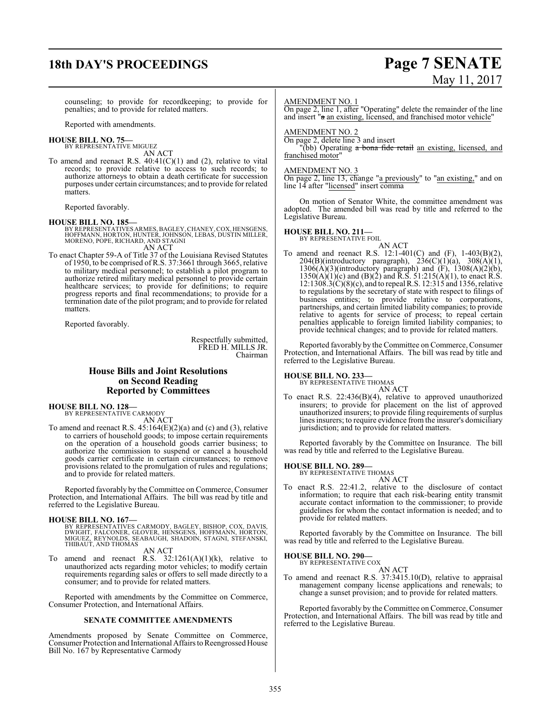## **18th DAY'S PROCEEDINGS Page 7 SENATE**

# May 11, 2017

counseling; to provide for recordkeeping; to provide for penalties; and to provide for related matters.

Reported with amendments.

### **HOUSE BILL NO. 75—** BY REPRESENTATIVE MIGUEZ

AN ACT

To amend and reenact R.S.  $40:41(C)(1)$  and (2), relative to vital records; to provide relative to access to such records; to authorize attorneys to obtain a death certificate for succession purposes under certain circumstances; and to provide for related matters.

Reported favorably.

### **HOUSE BILL NO. 185—**

BY REPRESENTATIVES ARMES, BAGLEY, CHANEY, COX, HENSGENS,<br>HOFFMANN, HORTON, HUNTER, JOHNSON, LEBAS, DUSTIN MILLER,<br>MORENO, POPE, RICHARD, AND STAGNI AN ACT

To enact Chapter 59-A of Title 37 of the Louisiana Revised Statutes of 1950, to be comprised of R.S. 37:3661 through 3665, relative to military medical personnel; to establish a pilot program to authorize retired military medical personnel to provide certain healthcare services; to provide for definitions; to require progress reports and final recommendations; to provide for a termination date of the pilot program; and to provide for related matters.

Reported favorably.

Respectfully submitted, FRED H. MILLS JR. Chairman

### **House Bills and Joint Resolutions on Second Reading Reported by Committees**

**HOUSE BILL NO. 128—**

BY REPRESENTATIVE CARMODY AN ACT

To amend and reenact R.S.  $45:164(E)(2)(a)$  and (c) and (3), relative to carriers of household goods; to impose certain requirements on the operation of a household goods carrier business; to authorize the commission to suspend or cancel a household goods carrier certificate in certain circumstances; to remove provisions related to the promulgation of rules and regulations; and to provide for related matters.

Reported favorably by the Committee on Commerce, Consumer Protection, and International Affairs. The bill was read by title and referred to the Legislative Bureau.

### **HOUSE BILL NO. 167—**

BY REPRESENTATIVES CARMODY, BAGLEY, BISHOP, COX, DAVIS,<br>DWIGHT, FALCONER, GLOVER, HENSGENS, HOFFMANN, HORTON,<br>MIGUEZ, REYNOLDS, SEABAUGH, SHADOIN, STAGNI, STEFANSKI,<br>THIBAUT, AND THOMAS

AN ACT

To amend and reenact R.S.  $32:1261(A)(1)(k)$ , relative to unauthorized acts regarding motor vehicles; to modify certain requirements regarding sales or offers to sell made directly to a consumer; and to provide for related matters.

Reported with amendments by the Committee on Commerce, Consumer Protection, and International Affairs.

### **SENATE COMMITTEE AMENDMENTS**

Amendments proposed by Senate Committee on Commerce, Consumer Protection and International Affairs to Reengrossed House Bill No. 167 by Representative Carmody

### AMENDMENT NO. 1

On page 2, line 1, after "Operating" delete the remainder of the line and insert "a an existing, licensed, and franchised motor vehicle"

### AMENDMENT NO. 2

On page 2, delete line 3 and insert

"(bb) Operating a bona fide retail an existing, licensed, and franchised motor'

### AMENDMENT NO. 3

On page 2, line 13, change "a previously" to "an existing," and on line 14 after "licensed" insert comma

On motion of Senator White, the committee amendment was adopted. The amended bill was read by title and referred to the Legislative Bureau.

## **HOUSE BILL NO. 211—** BY REPRESENTATIVE FOIL

AN ACT

To amend and reenact R.S. 12:1-401(C) and (F), 1-403(B)(2),  $204(B)$ (introductory paragraph),  $236(C)(1)(a)$ ,  $308(A)(1)$ ,  $1306(A)(3)$ (introductory paragraph) and  $(F)$ ,  $1308(A)(2)(b)$ ,  $1350(A)(1)(c)$  and  $(B)(2)$  and R.S.  $51:215(A)(1)$ , to enact R.S. 12:1308.3(C)(8)(c), and to repeal R.S. 12:315 and 1356, relative to regulations by the secretary of state with respect to filings of business entities; to provide relative to corporations, partnerships, and certain limited liability companies; to provide relative to agents for service of process; to repeal certain penalties applicable to foreign limited liability companies; to provide technical changes; and to provide for related matters.

Reported favorably by the Committee on Commerce, Consumer Protection, and International Affairs. The bill was read by title and referred to the Legislative Bureau.

## **HOUSE BILL NO. 233—** BY REPRESENTATIVE THOMAS

AN ACT

To enact R.S. 22:436(B)(4), relative to approved unauthorized insurers; to provide for placement on the list of approved unauthorized insurers; to provide filing requirements of surplus lines insurers; to require evidence from the insurer's domiciliary jurisdiction; and to provide for related matters.

Reported favorably by the Committee on Insurance. The bill was read by title and referred to the Legislative Bureau.

### **HOUSE BILL NO. 289—**

BY REPRESENTATIVE THOMAS

- AN ACT
- To enact R.S. 22:41.2, relative to the disclosure of contact information; to require that each risk-bearing entity transmit accurate contact information to the commissioner; to provide guidelines for whom the contact information is needed; and to provide for related matters.

Reported favorably by the Committee on Insurance. The bill was read by title and referred to the Legislative Bureau.

### **HOUSE BILL NO. 290—** BY REPRESENTATIVE COX

AN ACT

To amend and reenact R.S. 37:3415.10(D), relative to appraisal management company license applications and renewals; to change a sunset provision; and to provide for related matters.

Reported favorably by the Committee on Commerce, Consumer Protection, and International Affairs. The bill was read by title and referred to the Legislative Bureau.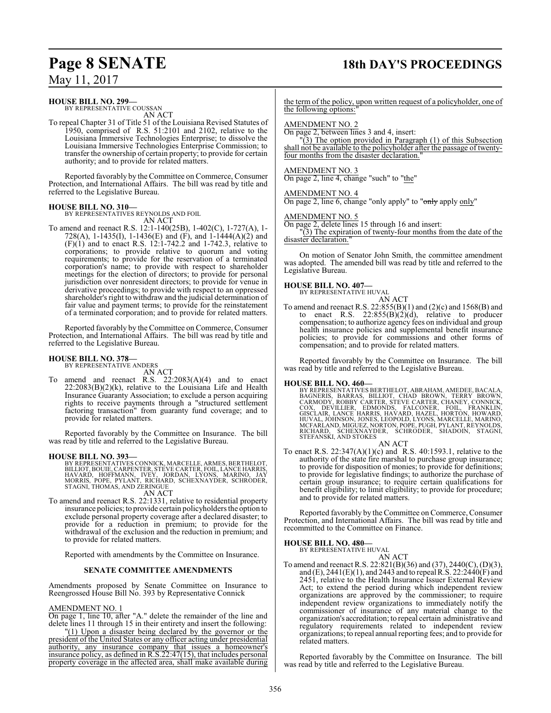## **Page 8 SENATE 18th DAY'S PROCEEDINGS**

May 11, 2017

### **HOUSE BILL NO. 299—**

BY REPRESENTATIVE COUSSAN AN ACT

To repeal Chapter 31 of Title 51 of the Louisiana Revised Statutes of 1950, comprised of R.S. 51:2101 and 2102, relative to the Louisiana Immersive Technologies Enterprise; to dissolve the Louisiana Immersive Technologies Enterprise Commission; to transfer the ownership of certain property; to provide for certain authority; and to provide for related matters.

Reported favorably by the Committee on Commerce, Consumer Protection, and International Affairs. The bill was read by title and referred to the Legislative Bureau.

### **HOUSE BILL NO. 310—**

BY REPRESENTATIVES REYNOLDS AND FOIL AN ACT

To amend and reenact R.S. 12:1-140(25B), 1-402(C), 1-727(A), 1- 728(A), 1-1435(I), 1-1436(E) and (F), and 1-1444(A)(2) and  $(F)(1)$  and to enact R.S. 12:1-742.2 and 1-742.3, relative to corporations; to provide relative to quorum and voting requirements; to provide for the reservation of a terminated corporation's name; to provide with respect to shareholder meetings for the election of directors; to provide for personal jurisdiction over nonresident directors; to provide for venue in derivative proceedings; to provide with respect to an oppressed shareholder's right to withdrawand the judicial determination of fair value and payment terms; to provide for the reinstatement of a terminated corporation; and to provide for related matters.

Reported favorably by the Committee on Commerce, Consumer Protection, and International Affairs. The bill was read by title and referred to the Legislative Bureau.

### **HOUSE BILL NO. 378—**

BY REPRESENTATIVE ANDERS AN ACT

To amend and reenact R.S. 22:2083(A)(4) and to enact 22:2083(B)(2)(k), relative to the Louisiana Life and Health Insurance Guaranty Association; to exclude a person acquiring rights to receive payments through a "structured settlement factoring transaction" from guaranty fund coverage; and to provide for related matters.

Reported favorably by the Committee on Insurance. The bill was read by title and referred to the Legislative Bureau.

### **HOUSE BILL NO. 393—**

BY REPRESENTATIVES CONNICK, MARCELLE, ARMES, BERTHELOT,<br>BILLIOT, BOUIE, CARPENTER, STEVE CARTER, FOIL, LANCE HARRIS,<br>HAVARD, HOFFMANN, IVEY, JORDAN, LÝONS, MARINO, JAY<br>MORRIS, POPE, PYLANT, RICHARD, SCHEXN AN ACT

To amend and reenact R.S. 22:1331, relative to residential property insurance policies; to provide certain policyholders the option to exclude personal property coverage after a declared disaster; to provide for a reduction in premium; to provide for the withdrawal of the exclusion and the reduction in premium; and to provide for related matters.

Reported with amendments by the Committee on Insurance.

### **SENATE COMMITTEE AMENDMENTS**

Amendments proposed by Senate Committee on Insurance to Reengrossed House Bill No. 393 by Representative Connick

### AMENDMENT NO. 1

On page 1, line 10, after "A." delete the remainder of the line and delete lines 11 through 15 in their entirety and insert the following:

"(1) Upon a disaster being declared by the governor or the president of the United States or any officer acting under presidential authority, any insurance company that issues a homeowner's insurance policy, as defined in R.S.22:47(15), that includes personal property coverage in the affected area, shall make available during

the term of the policy, upon written request of a policyholder, one of the following options:"

### AMENDMENT NO. 2

On page 2, between lines 3 and 4, insert:

"(3) The option provided in Paragraph (1) of this Subsection shall not be available to the policyholder after the passage of twentyfour months from the disaster declaration.

### AMENDMENT NO. 3

On page 2, line 4, change "such" to "the"

### AMENDMENT NO. 4

On page 2, line 6, change "only apply" to "only apply only"

### AMENDMENT NO. 5

On page 2, delete lines 15 through 16 and insert:

"(3) The expiration of twenty-four months from the date of the disaster declaration."

On motion of Senator John Smith, the committee amendment was adopted. The amended bill was read by title and referred to the Legislative Bureau.

### **HOUSE BILL NO. 407—**

BY REPRESENTATIVE HUVAL AN ACT

To amend and reenact R.S. 22:855(B)(1) and (2)(c) and 1568(B) and to enact R.S.  $22:855(B)(2)(d)$ , relative to producer compensation; to authorize agency fees on individual and group health insurance policies and supplemental benefit insurance policies; to provide for commissions and other forms of compensation; and to provide for related matters.

Reported favorably by the Committee on Insurance. The bill was read by title and referred to the Legislative Bureau.

**HOUSE BILL NO. 460—** BY REPRESENTATIVES BERTHELOT, ABRAHAM, AMEDEE, BACALA,<br>BAGNERIS, BARRAS, BILLIOT, CHAD BROWN, TERRY BROWN, AND<br>CARMODY, ROBBY CARTER, STEVE CARTER, CHANEY, CONNICK,<br>COX, DEVILLIER, EDMONDS, FALCONER, FOIL, FRANKLIN,<br>GISCLA

- AN ACT
- To enact R.S. 22:347(A)(1)(c) and R.S. 40:1593.1, relative to the authority of the state fire marshal to purchase group insurance; to provide for disposition of monies; to provide for definitions; to provide for legislative findings; to authorize the purchase of certain group insurance; to require certain qualifications for benefit eligibility; to limit eligibility; to provide for procedure; and to provide for related matters.

Reported favorably by the Committee on Commerce, Consumer Protection, and International Affairs. The bill was read by title and recommitted to the Committee on Finance.

### **HOUSE BILL NO. 480—**

BY REPRESENTATIVE HUVAL AN ACT

To amend and reenact R.S. 22:821(B)(36) and (37), 2440(C), (D)(3), and (E), 2441(E)(1), and 2443 and to repeal R.S. 22:2440(F) and 2451, relative to the Health Insurance Issuer External Review Act; to extend the period during which independent review organizations are approved by the commissioner; to require independent review organizations to immediately notify the commissioner of insurance of any material change to the organization's accreditation; to repeal certain administrative and regulatory requirements related to independent review organizations; to repeal annual reporting fees; and to provide for related matters.

Reported favorably by the Committee on Insurance. The bill was read by title and referred to the Legislative Bureau.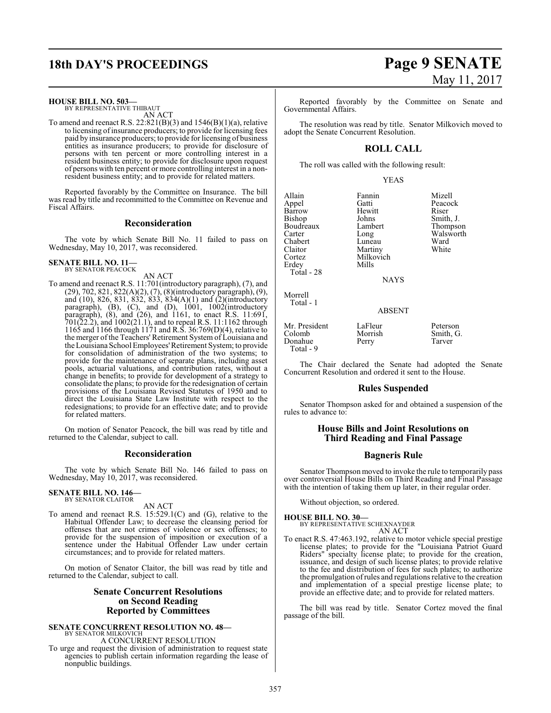## **18th DAY'S PROCEEDINGS Page 9 SENATE**

**HOUSE BILL NO. 503—**

BY REPRESENTATIVE THIBAUT AN ACT

To amend and reenact R.S.  $22:821(B)(3)$  and  $1546(B)(1)(a)$ , relative to licensing of insurance producers; to provide for licensing fees paid by insurance producers; to provide for licensing of business entities as insurance producers; to provide for disclosure of persons with ten percent or more controlling interest in a resident business entity; to provide for disclosure upon request of persons with ten percent or more controlling interest in a nonresident business entity; and to provide for related matters.

Reported favorably by the Committee on Insurance. The bill was read by title and recommitted to the Committee on Revenue and Fiscal Affairs.

### **Reconsideration**

The vote by which Senate Bill No. 11 failed to pass on Wednesday, May 10, 2017, was reconsidered.

### **SENATE BILL NO. 11—** BY SENATOR PEACOCK

AN ACT

To amend and reenact R.S. 11:701(introductory paragraph), (7), and (29), 702, 821, 822(A)(2), (7), (8)(introductory paragraph), (9), and (10), 826, 831, 832, 833, 834(A)(1) and (2)(introductory paragraph), (B), (C), and (D), 1001, 1002(introductory paragraph), (8), and (26), and 1161, to enact R.S. 11:691, 701(22.2), and 1002(21.1), and to repeal R.S. 11:1162 through 1165 and 1166 through 1171 and R.S. 36:769(D)(4), relative to the merger of the Teachers' Retirement System of Louisiana and the Louisiana School Employees' Retirement System; to provide for consolidation of administration of the two systems; to provide for the maintenance of separate plans, including asset pools, actuarial valuations, and contribution rates, without a change in benefits; to provide for development of a strategy to consolidate the plans; to provide for the redesignation of certain provisions of the Louisiana Revised Statutes of 1950 and to direct the Louisiana State Law Institute with respect to the redesignations; to provide for an effective date; and to provide for related matters.

On motion of Senator Peacock, the bill was read by title and returned to the Calendar, subject to call.

### **Reconsideration**

The vote by which Senate Bill No. 146 failed to pass on Wednesday, May 10, 2017, was reconsidered.

### **SENATE BILL NO. 146—** BY SENATOR CLAITOR

AN ACT

To amend and reenact R.S. 15:529.1(C) and (G), relative to the Habitual Offender Law; to decrease the cleansing period for offenses that are not crimes of violence or sex offenses; to provide for the suspension of imposition or execution of a sentence under the Habitual Offender Law under certain circumstances; and to provide for related matters.

On motion of Senator Claitor, the bill was read by title and returned to the Calendar, subject to call.

### **Senate Concurrent Resolutions on Second Reading Reported by Committees**

**SENATE CONCURRENT RESOLUTION NO. 48—** BY SENATOR MILKOVICH A CONCURRENT RESOLUTION

To urge and request the division of administration to request state agencies to publish certain information regarding the lease of nonpublic buildings.

# May 11, 2017

Reported favorably by the Committee on Senate and Governmental Affairs.

The resolution was read by title. Senator Milkovich moved to adopt the Senate Concurrent Resolution.

### **ROLL CALL**

The roll was called with the following result:

YEAS

Allain Fannin Mizell Barrow Hewit<br>Bishop Johns Bishop Johns Smith, J.<br>Boudreaux Lambert Thompso Carter Long Walsworth Chabert Luneau Ward<br>Claitor Martiny White Claitor Martiny<br>Cortez Milkovi Erdey Total - 28

Milkovich<br>Mills

Gatti Peacock<br>
Hewitt Riser Thompson

**NAYS** 

ABSENT

Mr. President LaFleur Peterson<br>Colomb Morrish Smith, G Donahue Total - 9

Morrell Total - 1

Morrish Smith, G.<br>Perry Tarver

The Chair declared the Senate had adopted the Senate Concurrent Resolution and ordered it sent to the House.

### **Rules Suspended**

Senator Thompson asked for and obtained a suspension of the rules to advance to:

### **House Bills and Joint Resolutions on Third Reading and Final Passage**

### **Bagneris Rule**

Senator Thompson moved to invoke the rule to temporarily pass over controversial House Bills on Third Reading and Final Passage with the intention of taking them up later, in their regular order.

Without objection, so ordered.

**HOUSE BILL NO. 30—** BY REPRESENTATIVE SCHEXNAYDER AN ACT

To enact R.S. 47:463.192, relative to motor vehicle special prestige license plates; to provide for the "Louisiana Patriot Guard Riders" specialty license plate; to provide for the creation, issuance, and design of such license plates; to provide relative to the fee and distribution of fees for such plates; to authorize the promulgation ofrules and regulations relative to the creation and implementation of a special prestige license plate; to provide an effective date; and to provide for related matters.

The bill was read by title. Senator Cortez moved the final passage of the bill.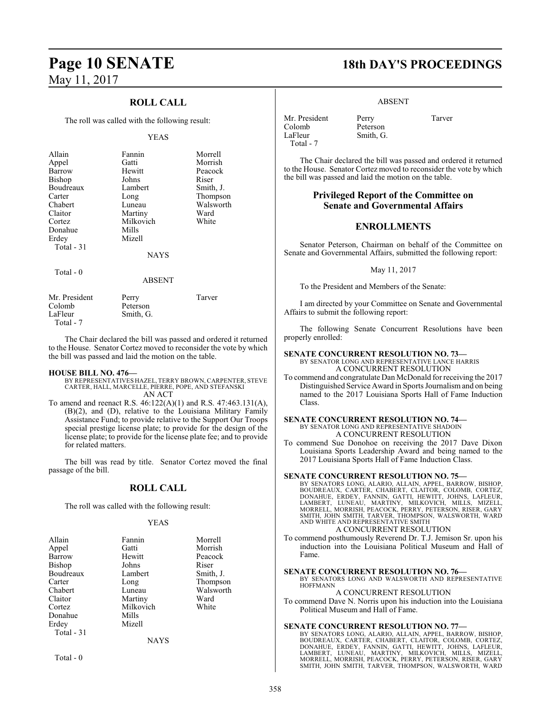### **ROLL CALL**

The roll was called with the following result:

### YEAS

| Allain<br>Appel<br>Barrow<br>Bishop<br>Boudreaux<br>Carter<br>Chabert<br>Claitor<br>Cortez<br>Donahue<br>Erdey<br>Total $-31$ | Fannin<br>Gatti<br>Hewitt<br>Johns<br>Lambert<br>Long<br>Luneau<br>Martiny<br>Milkovich<br>Mills<br>Mizell<br><b>NAYS</b> | Morrell<br>Morrish<br>Peacock<br>Riser<br>Smith, J.<br>Thompson<br>Walsworth<br>Ward<br>White |
|-------------------------------------------------------------------------------------------------------------------------------|---------------------------------------------------------------------------------------------------------------------------|-----------------------------------------------------------------------------------------------|
|                                                                                                                               |                                                                                                                           |                                                                                               |
| Total $-0$                                                                                                                    | ABSENT                                                                                                                    |                                                                                               |
| $\mathbf{1} \mathbf{I} \quad \mathbf{D} \quad \mathbf{1} \quad \mathbf{I}$                                                    |                                                                                                                           | Ē                                                                                             |

| Mr. President | Perry     | Tarver |
|---------------|-----------|--------|
| Colomb        | Peterson  |        |
| LaFleur       | Smith, G. |        |
| Total - 7     |           |        |

The Chair declared the bill was passed and ordered it returned to the House. Senator Cortez moved to reconsider the vote by which the bill was passed and laid the motion on the table.

### **HOUSE BILL NO. 476—**

- BY REPRESENTATIVES HAZEL, TERRY BROWN, CARPENTER, STEVE CARTER, HALL, MARCELLE, PIERRE, POPE, AND STEFANSKI AN ACT
- To amend and reenact R.S. 46:122(A)(1) and R.S. 47:463.131(A), (B)(2), and (D), relative to the Louisiana Military Family Assistance Fund; to provide relative to the Support Our Troops special prestige license plate; to provide for the design of the license plate; to provide for the license plate fee; and to provide for related matters.

The bill was read by title. Senator Cortez moved the final passage of the bill.

### **ROLL CALL**

The roll was called with the following result:

### YEAS

| Fannin      | Morrell   |
|-------------|-----------|
| Gatti       | Morrish   |
| Hewitt      | Peacock   |
| Johns       | Riser     |
| Lambert     | Smith, J. |
| Long        | Thompson  |
| Luneau      | Walsworth |
| Martiny     | Ward      |
| Milkovich   | White     |
| Mills       |           |
| Mizell      |           |
|             |           |
| <b>NAYS</b> |           |
|             |           |

Total - 0

## **Page 10 SENATE 18th DAY'S PROCEEDINGS**

ABSENT

Smith, G.

Mr. President Perry Tarver<br>Colomb Peterson Colomb Peterson<br>LaFleur Smith, G Total - 7

The Chair declared the bill was passed and ordered it returned to the House. Senator Cortez moved to reconsider the vote by which the bill was passed and laid the motion on the table.

### **Privileged Report of the Committee on Senate and Governmental Affairs**

### **ENROLLMENTS**

Senator Peterson, Chairman on behalf of the Committee on Senate and Governmental Affairs, submitted the following report:

May 11, 2017

To the President and Members of the Senate:

I am directed by your Committee on Senate and Governmental Affairs to submit the following report:

The following Senate Concurrent Resolutions have been properly enrolled:

### **SENATE CONCURRENT RESOLUTION NO. 73—** BY SENATOR LONG AND REPRESENTATIVE LANCE HARRIS A CONCURRENT RESOLUTION

To commend and congratulate Dan McDonald for receiving the 2017 Distinguished Service Award in Sports Journalismand on being named to the 2017 Louisiana Sports Hall of Fame Induction Class.

### **SENATE CONCURRENT RESOLUTION NO. 74—** BY SENATOR LONG AND REPRESENTATIVE SHADOIN A CONCURRENT RESOLUTION

To commend Sue Donohoe on receiving the 2017 Dave Dixon Louisiana Sports Leadership Award and being named to the 2017 Louisiana Sports Hall of Fame Induction Class.

### **SENATE CONCURRENT RESOLUTION NO. 75—**

BY SENATORS LONG, ALARIO, ALLAIN, APPEL, BARROW, BISHOP,<br>BOUDREAUX, CARTER, CHABERT, CLAITOR, COLOMB, CORTEZ,<br>DONAHUE, ERDEY, FANNIN, GATTI, HEWITT, JOHNS, LAFLEUR,<br>LAMBERT, LUNEAU, MARTINY, MILKOVICH, MILLS, MIZELL,<br>MORRE AND WHITE AND REPRESENTATIVE SMITH A CONCURRENT RESOLUTION

To commend posthumously Reverend Dr. T.J. Jemison Sr. upon his induction into the Louisiana Political Museum and Hall of Fame.

### **SENATE CONCURRENT RESOLUTION NO. 76—**

BY SENATORS LONG AND WALSWORTH AND REPRESENTATIVE HOFFMANN

A CONCURRENT RESOLUTION

To commend Dave N. Norris upon his induction into the Louisiana Political Museum and Hall of Fame.

### **SENATE CONCURRENT RESOLUTION NO. 77—**

BY SENATORS LONG, ALARIO, ALLAIN, APPEL, BARROW, BISHOP, BOUDREAUX, CARTER, CHABERT, CLAITOR, COLOMB, CORTEZ,<br>DONAHUE, ERDEY, FANNIN, GATTI, HEWITT, JOHNS, LAFLEUR,<br>LAMBERT, LUNEAU, MARTINY, MILKOVICH, MILLS, MIZELL,<br>MORRELL, MORRISH, PEACOCK, PERRY, PETERSON, RISER, GARY<br>SMITH,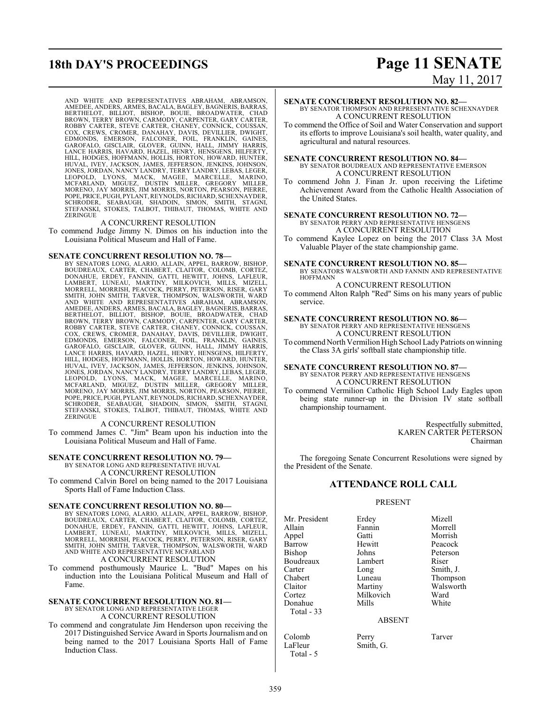## **18th DAY'S PROCEEDINGS Page 11 SENATE**

# May 11, 2017

AND WHITE AND REPRESENTATIVES ABRAHAM, ABRAMSON, AMEDEE, ANDERS, ARMES, BACALA, BAGLEY, BAGNERIS, BARRAS,<br>BERTHELOT, BILLIOT, BISHOP, BOUIE, BROADWATER, CHAD<br>BROWN, TERRY BROWN, CARMODY, CARPENTER, GARY CARTER,<br>ROBBY CARTER, STEVE CARTER, CHANEY, CONNICK, COUSSAN,<br>COX, C EDMONDS, EMERSON, FALCONER, FOIL, FRANKLIN, GAINES,<br>GAROFALO, GISCLAIR, GLOVER, GUINN, HALL, JIMMY HARRIS,<br>LANCE HARRIS, HAVARD, HAZEL, HENRY, HELL, JIMMY HARRIS,<br>HILL, HODGES, HOFFMANN, HOLLIS, HORTON, HOWARD, HUFTER,<br>HUV POPE,PRICE, PUGH, PYLANT,REYNOLDS, RICHARD, SCHEXNAYDER, SCHRODER, SEABAUGH, SHADOIN, SIMON, SMITH, STAGNI, STEFANSKI, STOKES, TALBOT, THIBAUT, THOMAS, WHITE AND ZERINGUE

### A CONCURRENT RESOLUTION

To commend Judge Jimmy N. Dimos on his induction into the Louisiana Political Museum and Hall of Fame.

### **SENATE CONCURRENT RESOLUTION NO. 78—**

BY SENATORS LONG, ALARIO, ALLAIN, APPEL, BARROW, BISHOP, BOUDREAUX, CARTER, CHABERT, CLAITOR, COLOMB, CORTEZ,<br>DONAHUE, ERDEY, FANNIN, GATTI, HEWITT, JOHNS, LAFLEUR,<br>LAMBERT, LUNEAU, MARTINY, MILKOVICH, MILLS, MIZELL, MORRELL, MORRISH, PEACOCK, PERRY, PETERSON, RISER, GARY<br>SMITH, JOHN SMITH, TARVER, THOMPSON, WALSWORTH, WARD<br>AND WHITE AND REPRESENTATIVES ABRAHAM, ABRAMSON, AMEDEE, ANDERS, ARMES, BACALA, BAGLEY, BAGNERIS, BARRAS,<br>BERTHELOT, BILLIOT, BISHOP, BOUIE, BROADWATER, CHAD<br>BROWN, TERRY BROWN, CARMODY, CARPENTER, GARY CARTER,<br>ROBBY CARTER, STEVE CARTER, CHANEY, CONNICK, COUS COX, CREWS, CROMER, DANAHAY, DAVIS, DEVILLIER, DWIGHT, DANONDS, EMERSON, FALCONER, FOIL, FRANKLIN, GAINES, GAEROR GAROFALO, GISCLAIR, GLOVER, GUINN, HALL, JIMMY HARRIS, LANCE HARRIS, HAVARD, HAZEL, HENRY, HENSGENS, HILFERT

### A CONCURRENT RESOLUTION

To commend James C. "Jim" Beam upon his induction into the Louisiana Political Museum and Hall of Fame.

### **SENATE CONCURRENT RESOLUTION NO. 79—**

BY SENATOR LONG AND REPRESENTATIVE HUVAL

A CONCURRENT RESOLUTION

To commend Calvin Borel on being named to the 2017 Louisiana Sports Hall of Fame Induction Class.

**SENATE CONCURRENT RESOLUTION NO. 80—** BY SENATORS LONG, ALARIO, ALLAIN, APPEL, BARROW, BISHOP, BOUDREAUX, CARTER, CHABERT, CLAITOR, COLOMB, CORTEZ,<br>DONAHUE, ERDEY, FANNIN, GATTI, HEWITT, JOHNS, LAFLEUR,<br>LAMBERT, LUNEAU, MARTINY, MILKOVICH, MILLS, MIZELL,<br>MORRELL, MORRISH, PEACOCK, PERRY, PETERSON, RISER, GARY<br>SMITH, A CONCURRENT RESOLUTION

To commend posthumously Maurice L. "Bud" Mapes on his induction into the Louisiana Political Museum and Hall of Fame.

### **SENATE CONCURRENT RESOLUTION NO. 81—** BY SENATOR LONG AND REPRESENTATIVE LEGER

A CONCURRENT RESOLUTION

To commend and congratulate Jim Henderson upon receiving the 2017 Distinguished Service Award in Sports Journalism and on being named to the 2017 Louisiana Sports Hall of Fame Induction Class.

### **SENATE CONCURRENT RESOLUTION NO. 82—** BY SENATOR THOMPSON AND REPRESENTATIVE SCHEXNAYDER

A CONCURRENT RESOLUTION

To commend the Office of Soil and Water Conservation and support its efforts to improve Louisiana's soil health, water quality, and agricultural and natural resources.

### **SENATE CONCURRENT RESOLUTION NO. 84—** BY SENATOR BOUDREAUX AND REPRESENTATIVE EMERSON A CONCURRENT RESOLUTION

To commend John J. Finan Jr. upon receiving the Lifetime Achievement Award from the Catholic Health Association of the United States.

### **SENATE CONCURRENT RESOLUTION NO. 72—** BY SENATOR PERRY AND REPRESENTATIVE HENSGENS

A CONCURRENT RESOLUTION

To commend Kaylee Lopez on being the 2017 Class 3A Most Valuable Player of the state championship game.

### **SENATE CONCURRENT RESOLUTION NO. 85—**

BY SENATORS WALSWORTH AND FANNIN AND REPRESENTATIVE HOFFMANN A CONCURRENT RESOLUTION

To commend Alton Ralph "Red" Sims on his many years of public service.

### **SENATE CONCURRENT RESOLUTION NO. 86—**

BY SENATOR PERRY AND REPRESENTATIVE HENSGENS A CONCURRENT RESOLUTION

To commend North Vermilion High School Lady Patriots on winning the Class 3A girls' softball state championship title.

### **SENATE CONCURRENT RESOLUTION NO. 87—** BY SENATOR PERRY AND REPRESENTATIVE HENSGENS A CONCURRENT RESOLUTION

To commend Vermilion Catholic High School Lady Eagles upon being state runner-up in the Division IV state softball championship tournament.

> Respectfully submitted, KAREN CARTER PETERSON Chairman

The foregoing Senate Concurrent Resolutions were signed by the President of the Senate.

### **ATTENDANCE ROLL CALL**

### PRESENT

Mr. President Erdey Mizell<br>Allain Fannin Morrel Allain Fannin Morrell Appel Gatti Morrish Bishop Johns Peterson<br>Boudreaux Lambert Riser **Boudreaux** Carter Long Smith, J.<br>Chabert Luneau Thompso Claitor Martiny Walsworth<br>
Cortez Milkovich Ward Donahue Total - 33

Milkovich Ward<br>
Whils White

Smith, G.

Peacock Thompson

ABSENT

Colomb Perry Tarver<br>
LaFleur Smith, G. Total - 5

359